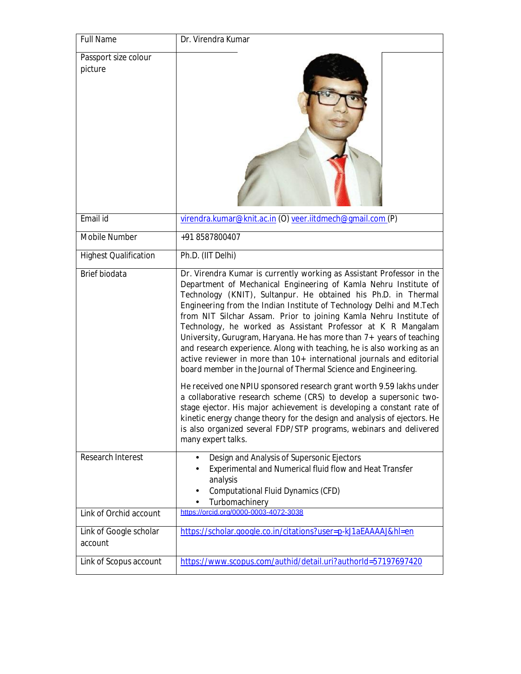| <b>Full Name</b>                  | Dr. Virendra Kumar                                                                                                                                                                                                                                                                                                                                                                                                                                                                                                                                                                                                                                                                                                                                                                                                                                                                                                                                                                                                                                                                                                    |
|-----------------------------------|-----------------------------------------------------------------------------------------------------------------------------------------------------------------------------------------------------------------------------------------------------------------------------------------------------------------------------------------------------------------------------------------------------------------------------------------------------------------------------------------------------------------------------------------------------------------------------------------------------------------------------------------------------------------------------------------------------------------------------------------------------------------------------------------------------------------------------------------------------------------------------------------------------------------------------------------------------------------------------------------------------------------------------------------------------------------------------------------------------------------------|
| Passport size colour<br>picture   |                                                                                                                                                                                                                                                                                                                                                                                                                                                                                                                                                                                                                                                                                                                                                                                                                                                                                                                                                                                                                                                                                                                       |
| Email id                          | virendra.kumar@knit.ac.in (O) veer.iitdmech@gmail.com (P)                                                                                                                                                                                                                                                                                                                                                                                                                                                                                                                                                                                                                                                                                                                                                                                                                                                                                                                                                                                                                                                             |
| <b>Mobile Number</b>              | +91 8587800407                                                                                                                                                                                                                                                                                                                                                                                                                                                                                                                                                                                                                                                                                                                                                                                                                                                                                                                                                                                                                                                                                                        |
| <b>Highest Qualification</b>      | Ph.D. (IIT Delhi)                                                                                                                                                                                                                                                                                                                                                                                                                                                                                                                                                                                                                                                                                                                                                                                                                                                                                                                                                                                                                                                                                                     |
| <b>Brief biodata</b>              | Dr. Virendra Kumar is currently working as Assistant Professor in the<br>Department of Mechanical Engineering of Kamla Nehru Institute of<br>Technology (KNIT), Sultanpur. He obtained his Ph.D. in Thermal<br>Engineering from the Indian Institute of Technology Delhi and M.Tech<br>from NIT Silchar Assam. Prior to joining Kamla Nehru Institute of<br>Technology, he worked as Assistant Professor at K R Mangalam<br>University, Gurugram, Haryana. He has more than 7+ years of teaching<br>and research experience. Along with teaching, he is also working as an<br>active reviewer in more than 10+ international journals and editorial<br>board member in the Journal of Thermal Science and Engineering.<br>He received one NPIU sponsored research grant worth 9.59 lakhs under<br>a collaborative research scheme (CRS) to develop a supersonic two-<br>stage ejector. His major achievement is developing a constant rate of<br>kinetic energy change theory for the design and analysis of ejectors. He<br>is also organized several FDP/STP programs, webinars and delivered<br>many expert talks. |
| <b>Research Interest</b>          | Design and Analysis of Supersonic Ejectors<br>Experimental and Numerical fluid flow and Heat Transfer                                                                                                                                                                                                                                                                                                                                                                                                                                                                                                                                                                                                                                                                                                                                                                                                                                                                                                                                                                                                                 |
|                                   | analysis<br><b>Computational Fluid Dynamics (CFD)</b><br>Turbomachinery                                                                                                                                                                                                                                                                                                                                                                                                                                                                                                                                                                                                                                                                                                                                                                                                                                                                                                                                                                                                                                               |
| Link of Orchid account            | https://orcid.org/0000-0003-4072-3038                                                                                                                                                                                                                                                                                                                                                                                                                                                                                                                                                                                                                                                                                                                                                                                                                                                                                                                                                                                                                                                                                 |
| Link of Google scholar<br>account | https://scholar.google.co.in/citations?user=p-kJ1aEAAAAJ&hl=en                                                                                                                                                                                                                                                                                                                                                                                                                                                                                                                                                                                                                                                                                                                                                                                                                                                                                                                                                                                                                                                        |
| Link of Scopus account            | https://www.scopus.com/authid/detail.uri?authorId=57197697420                                                                                                                                                                                                                                                                                                                                                                                                                                                                                                                                                                                                                                                                                                                                                                                                                                                                                                                                                                                                                                                         |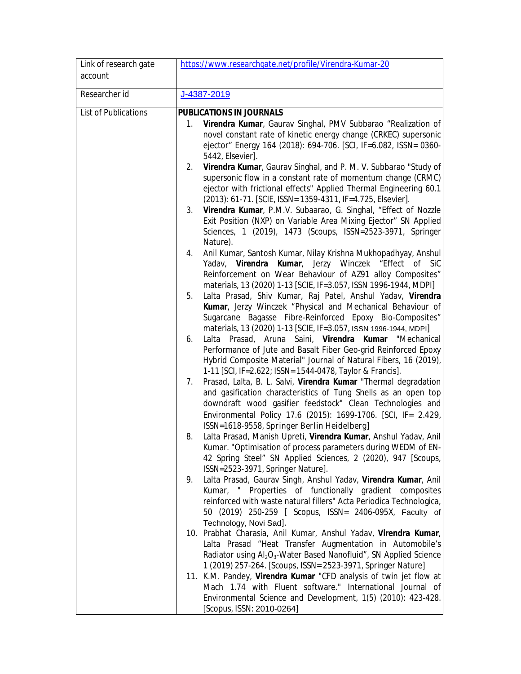| Link of research gate       | https://www.researchgate.net/profile/Virendra-Kumar-20                                                                                                    |     |
|-----------------------------|-----------------------------------------------------------------------------------------------------------------------------------------------------------|-----|
| account                     |                                                                                                                                                           |     |
| Researcher id               | J-4387-2019                                                                                                                                               |     |
| <b>List of Publications</b> | PUBLICATIONS IN JOURNALS                                                                                                                                  |     |
|                             | Virendra Kumar, Gaurav Singhal, PMV Subbarao "Realization of<br>1.                                                                                        |     |
|                             | novel constant rate of kinetic energy change (CRKEC) supersonic                                                                                           |     |
|                             | ejector" Energy 164 (2018): 694-706. [SCI, IF=6.082, ISSN= 0360-                                                                                          |     |
|                             | 5442, Elsevier].                                                                                                                                          |     |
|                             | Virendra Kumar, Gaurav Singhal, and P. M. V. Subbarao "Study of<br>2.                                                                                     |     |
|                             | supersonic flow in a constant rate of momentum change (CRMC)                                                                                              |     |
|                             | ejector with frictional effects" Applied Thermal Engineering 60.1                                                                                         |     |
|                             | (2013): 61-71. [SCIE, ISSN= 1359-4311, IF=4.725, Elsevier].                                                                                               |     |
|                             | Virendra Kumar, P.M.V. Subaarao, G. Singhal, "Effect of Nozzle<br>3.<br>Exit Position (NXP) on Variable Area Mixing Ejector" SN Applied                   |     |
|                             | Sciences, 1 (2019), 1473 (Scoups, ISSN=2523-3971, Springer                                                                                                |     |
|                             | Nature).                                                                                                                                                  |     |
|                             | Anil Kumar, Santosh Kumar, Nilay Krishna Mukhopadhyay, Anshul<br>4.                                                                                       |     |
|                             | Kumar, Jerzy Winczek<br>Yadav, Virendra<br>"Effect<br>of l                                                                                                | SiC |
|                             | Reinforcement on Wear Behaviour of AZ91 alloy Composites"                                                                                                 |     |
|                             | materials, 13 (2020) 1-13 [SCIE, IF=3.057, ISSN 1996-1944, MDPI]                                                                                          |     |
|                             | Lalta Prasad, Shiv Kumar, Raj Patel, Anshul Yadav, Virendra<br>5.<br>Kumar, Jerzy Winczek "Physical and Mechanical Behaviour of                           |     |
|                             | Sugarcane Bagasse Fibre-Reinforced Epoxy Bio-Composites"                                                                                                  |     |
|                             | materials, 13 (2020) 1-13 [SCIE, IF=3.057, ISSN 1996-1944, MDPI]                                                                                          |     |
|                             | Lalta Prasad, Aruna Saini, Virendra Kumar "Mechanical<br>6.                                                                                               |     |
|                             | Performance of Jute and Basalt Fiber Geo-grid Reinforced Epoxy                                                                                            |     |
|                             | Hybrid Composite Material" Journal of Natural Fibers, 16 (2019),                                                                                          |     |
|                             | 1-11 [SCI, IF=2.622; ISSN= 1544-0478, Taylor & Francis].                                                                                                  |     |
|                             | Prasad, Lalta, B. L. Salvi, Virendra Kumar "Thermal degradation<br>7.<br>and gasification characteristics of Tung Shells as an open top                   |     |
|                             | downdraft wood gasifier feedstock" Clean Technologies and                                                                                                 |     |
|                             | Environmental Policy 17.6 (2015): 1699-1706. [SCI, IF= 2.429,                                                                                             |     |
|                             | ISSN=1618-9558, Springer Berlin Heidelberg]                                                                                                               |     |
|                             | Lalta Prasad, Manish Upreti, Virendra Kumar, Anshul Yadav, Anil<br>8.                                                                                     |     |
|                             | Kumar. "Optimisation of process parameters during WEDM of EN-                                                                                             |     |
|                             | 42 Spring Steel" SN Applied Sciences, 2 (2020), 947 [Scoups,                                                                                              |     |
|                             | ISSN=2523-3971, Springer Nature].<br>Lalta Prasad, Gaurav Singh, Anshul Yadav, Virendra Kumar, Anil<br>9.                                                 |     |
|                             | Kumar, " Properties of functionally gradient composites                                                                                                   |     |
|                             | reinforced with waste natural fillers" Acta Periodica Technologica,                                                                                       |     |
|                             | 50 (2019) 250-259 [ Scopus, ISSN= 2406-095X, Faculty of                                                                                                   |     |
|                             | Technology, Novi Sad].                                                                                                                                    |     |
|                             | 10. Prabhat Charasia, Anil Kumar, Anshul Yadav, Virendra Kumar,                                                                                           |     |
|                             | Lalta Prasad "Heat Transfer Augmentation in Automobile's                                                                                                  |     |
|                             | Radiator using Al <sub>2</sub> O <sub>3</sub> -Water Based Nanofluid", SN Applied Science<br>1 (2019) 257-264. [Scoups, ISSN= 2523-3971, Springer Nature] |     |
|                             | 11. K.M. Pandey, Virendra Kumar "CFD analysis of twin jet flow at                                                                                         |     |
|                             | Mach 1.74 with Fluent software." International Journal of                                                                                                 |     |
|                             | Environmental Science and Development, 1(5) (2010): 423-428.                                                                                              |     |
|                             | [Scopus, ISSN: 2010-0264]                                                                                                                                 |     |